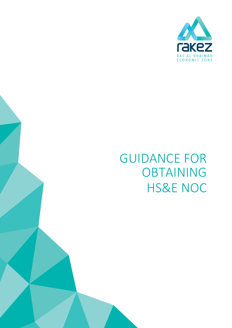

# GUIDANCE FOR OBTAINING HS&E NOC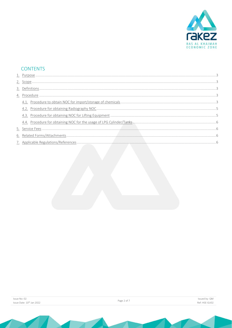

## **CONTENTS**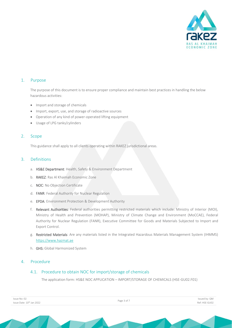

## <span id="page-2-0"></span>1. Purpose

The purpose of this document is to ensure proper compliance and maintain best practices in handling the below hazardous activities:

- Import and storage of chemicals
- Import, export, use, and storage of radioactive sources
- Operation of any kind of power-operated lifting equipment
- Usage of LPG tanks/cylinders

#### <span id="page-2-1"></span>2. Scope

This guidance shall apply to all clients operating within RAKEZ jurisdictional areas.

## <span id="page-2-2"></span>3. Definitions

- a. HS&E Department: Health, Safety & Environment Department
- b. RAKEZ: Ras Al Khaimah Economic Zone
- c. NOC: No Objection Certificate
- d. FANR: Federal Authority for Nuclear Regulation
- e. EPDA: Environment Protection & Development Authority
- f. Relevant Authorities: Federal authorities permitting restricted materials which include: Ministry of Interior (MOI), Ministry of Health and Prevention (MOHAP), Ministry of Climate Change and Environment (MoCCAE), Federal Authority for Nuclear Regulation (FANR), Executive Committee for Goods and Materials Subjected to Import and Export Control.
- g. Restricted Materials: Are any materials listed in the Integrated Hazardous Materials Management System (IHMMS) [https://www.hazmat.ae](https://www.hazmat.ae/)
- h. GHS: Global Harmonized System

## <span id="page-2-4"></span><span id="page-2-3"></span>4. Procedure

## 4.1. Procedure to obtain NOC for import/storage of chemicals

The application form: HS&E NOC APPLICATION – IMPORT/STORAGE OF CHEMICALS (HSE-GU02.F01)

| Issue No: 02                          |  |  |  |
|---------------------------------------|--|--|--|
| Issue Date: 10 <sup>th</sup> Jan 2022 |  |  |  |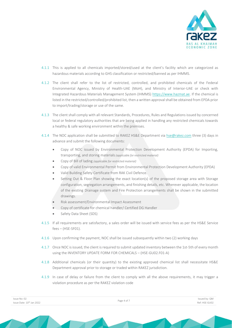

- 4.1.1 This is applied to all chemicals imported/stored/used at the client's facility which are categorized as hazardous materials according to GHS classification or restricted/banned as per IHMMS.
- 4.1.2 The client shall refer to the list of restricted, controlled, and prohibited chemicals of the Federal Environmental Agency, Ministry of Health-UAE (MoH), and Ministry of Interior-UAE or check with Integrated Hazardous Materials Management System (IHMMS) [https://www.hazmat.ae.](https://www.hazmat.ae/) If the chemical is listed in the restricted/controlled/prohibited list, then a written approval shall be obtained from EPDA prior to import/trading/storage or use of the same.
- 4.1.3 The client shall comply with all relevant Standards, Procedures, Rules and Regulations issued by concerned local or federal regulatory authorities that are being applied in handling any restricted chemicals towards a healthy & safe working environment within the premises.
- 4.1.4 The NOC application shall be submitted to RAKEZ HS&E Department via [hse@rakez.com](mailto:hse@rakez.com) three (3) days in advance and submit the following documents:
	- Copy of NOC issued by Environmental Protection Development Authority (EPDA) for Importing, transporting, and storing materials*(applicable for restricted material)*
	- Copy of Bill of lading *(applicable for restricted material)*
	- Copy of valid Environmental Permit from Environmental Protection Development Authority (EPDA)
	- Valid Building Safety Certificate from RAK Civil Defence.
	- Setting Out & Floor Plan showing the exact location(s) of the proposed storage area with Storage configuration, segregation arrangements, and finishing details, etc. Wherever applicable, the location of the existing Drainage system and Fire Protection arrangements shall be shown in the submitted drawings.
	- Risk assessment/Environmental Impact Assessment
	- Copy of certificate for chemical handler/ Certified DG Handler
	- Safety Data Sheet (SDS)
- 4.1.5 If all requirements are satisfactory, a sales order will be issued with service fees as per the HS&E Service fees – (HSE-SF01).
- 4.1.6 Upon confirming the payment, NOC shall be issued subsequently within two (2) working days
- 4.1.7 Once NOC is issued, the client is required to submit updated inventory between the 1st-5th of every month using the INVENTORY UPDATE FORM FOR CHEMICALS – (HSE-GU02.F01-A)
- 4.1.8 Additional chemicals (or their quantity) to the existing approved chemical list shall necessitate HS&E Department approval prior to storage or traded within RAKEZ jurisdiction.
- 4.1.9 In case of delay or failure from the client to comply with all the above requirements, it may trigger a violation procedure as per the RAKEZ violation code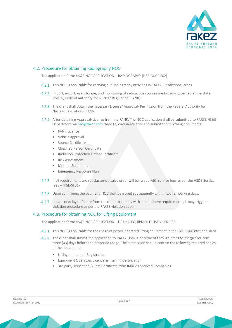

## <span id="page-4-0"></span>4.2. Procedure for obtaining Radiography NOC

The application form: HS&E NOC APPLICATION – RADIOGRAPHY (HSE-GU02.F02)

- 4.2.1. This NOC is applicable for carrying out Radiography activities in RAKEZ jurisdictional areas
- 4.2.2. Import, export, use, storage, and monitoring of radioactive sources are broadly governed at the state level by Federal Authority for Nuclear Regulation (FANR).
- 4.2.3. The client shall obtain the necessary License/ Approval/ Permission from the Federal Authority for Nuclear Regulations (FANR).
- After obtaining Approval/Licence from the FANR. The NOC application shall be submitted to RAKEZ HS&E Department vi[a hse@rakez.com](mailto:hse@rakez.com) three (3) days in advance and submit the following documents:
	- FANR Licence
	- Vehicle approval
	- Source Certificate
	- Classified Person Certificate
	- Radiation Protection Officer Certificate
	- Risk Assessment
	- Method Statement
	- Emergency Response Plan
- If all requirements are satisfactory, a sales order will be issued with service fees as per the HS&E Service fees – (HSE-SF01).
- Upon confirming the payment, NOC shall be issued subsequently within two (2) working days.
- In case of delay or failure from the client to comply with all the above requirements, it may trigger a violation procedure as per the RAKEZ violation code.

## <span id="page-4-1"></span>4.3. Procedure for obtaining NOC for Lifting Equipment

The application form: HS&E NOC APPLICATION – LIFTING EQUIPMENT (HSE-GU02.F03)

- This NOC is applicable for the usage of power-operated lifting equipment in the RAKEZ jurisdictional area.
- 4.3.2. The client shall submit the application to RAKEZ HS&E Department through email to [hse@rakez.com](mailto:hse@rakez.com) three (03) days before the proposed usage. The submission should contain the following required copies of the documents:
	- Lifting equipment Registration
	- Equipment Operators Licence & Training Certification
	- 3rd party Inspection & Test Certificate from RAKEZ approved Companies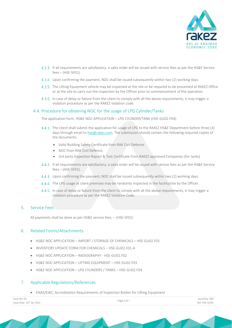

- If all requirements are satisfactory, a sales order will be issued with service fees as per the HS&E Service fees – (HSE-SF01).
- Upon confirming the payment, NOC shall be issued subsequently within two (2) working days.
- 4.3.5. The Lifting Equipment vehicle may be inspected at the site or be required to be presented at RAKEZ Office or at the site to carry out the inspection by the Officer prior to commencement of the operation.
- 4.3.6. In case of delay or failure from the client to comply with all the above requirements, it may trigger a violation procedure as per the RAKEZ violation code.

## <span id="page-5-0"></span>4.4. Procedure for obtaining NOC for the usage of LPG Cylinder/Tanks

The application form: HS&E NOC APPLICATION – LPG CYLINDER/TANK (HSE-GU02.F04)

- 4.4.1. The client shall submit the application for usage of LPG to the RAKEZ HS&E Department before three (3) days through email t[o hse@rakez.com.](mailto:hse@rakez.com) The submission should contain the following required copies of the documents:
	- Valid Building Safety Certificate from RAK Civil Defence.
	- NOC from RAK Civil Defence
	- 3rd party Inspection Report & Test Certificate from RAKEZ approved Companies (for tanks)
- If all requirements are satisfactory, a sales order will be issued with service fees as per the HS&E Service  $fees - (HSE-SFO1).$
- Upon confirming the payment, NOC shall be issued subsequently within two (2) working days.
- 4.4.4. The LPG usage at client premises may be randomly inspected in the facility/site by the Officer.
- 4.4.5. In case of delay or failure from the client to comply with all the above requirements, it may trigger a violation procedure as per the RAKEZ Violation Code.

#### <span id="page-5-1"></span>5. Service Fees

All payments shall be done as per HS&E service fees. – (HSE-SF01)

## <span id="page-5-2"></span>6. Related Forms/Attachments

- HS&E NOC APPLICATION IMPORT / STORAGE OF CHEMICALS HSE-GU02.F01
- INVENTORY UPDATE FORM FOR CHEMICALS HSE-GU02.F01-A
- HS&E NOC APPLICATION RADIOGRAPHY HSE-GU02.F02
- HS&E NOC APPLICATION LIFTING EQUIPMENT HSE-GU02.F03
- HS&E NOC APPLICATION LPG CYLINDERS / TANKS HSE-GU02.F04

## <span id="page-5-3"></span>7. Applicable Regulations/References

• ENAS/EIAC; Accreditation Requirements of Inspection Bodies for Lifting Equipment